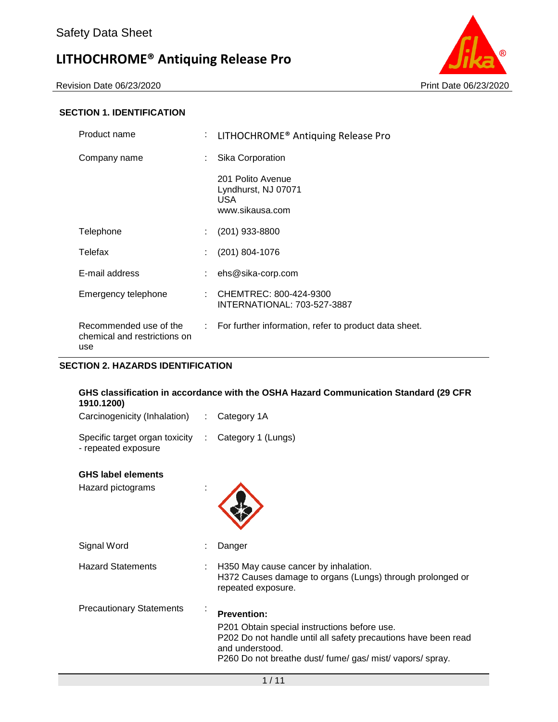Revision Date 06/23/2020 Print Date 06/23/2020



#### **SECTION 1. IDENTIFICATION**

| Product name                                                  | ÷. | LITHOCHROME <sup>®</sup> Antiquing Release Pro                            |
|---------------------------------------------------------------|----|---------------------------------------------------------------------------|
| Company name                                                  |    | Sika Corporation                                                          |
|                                                               |    | 201 Polito Avenue<br>Lyndhurst, NJ 07071<br><b>USA</b><br>www.sikausa.com |
| Telephone                                                     | ÷. | (201) 933-8800                                                            |
| Telefax                                                       |    | (201) 804-1076                                                            |
| E-mail address                                                |    | ehs@sika-corp.com                                                         |
| Emergency telephone                                           |    | CHEMTREC: 800-424-9300<br>INTERNATIONAL: 703-527-3887                     |
| Recommended use of the<br>chemical and restrictions on<br>use |    | : For further information, refer to product data sheet.                   |

#### **SECTION 2. HAZARDS IDENTIFICATION**

### **GHS classification in accordance with the OSHA Hazard Communication Standard (29 CFR 1910.1200)** Carcinogenicity (Inhalation) : Category 1A

| Specific target organ toxicity : Category 1 (Lungs)<br>- repeated exposure |  |  |
|----------------------------------------------------------------------------|--|--|
| <b>GHS label elements</b>                                                  |  |  |

| טווסוואן פומוט טרוט<br>Hazard pictograms |                                                                                                                                      |
|------------------------------------------|--------------------------------------------------------------------------------------------------------------------------------------|
| Signal Word                              | Danger                                                                                                                               |
| <b>Hazard Statements</b>                 | H350 May cause cancer by inhalation.<br>H372 Causes damage to organs (Lungs) through prolonged or<br>repeated exposure.              |
| <b>Precautionary Statements</b>          | <b>Prevention:</b><br>P201 Obtain special instructions before use.<br>P202 Do not handle until all safety precautions have been read |

P260 Do not breathe dust/ fume/ gas/ mist/ vapors/ spray.

and understood.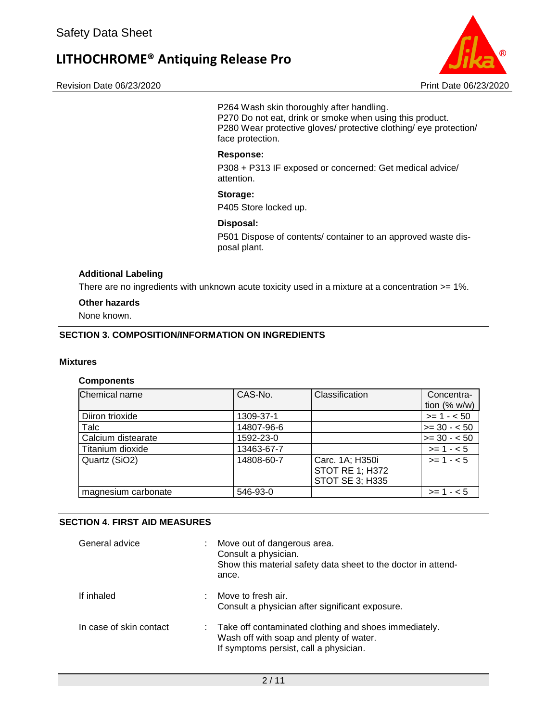Revision Date 06/23/2020 Print Date 06/23/2020



P264 Wash skin thoroughly after handling. P270 Do not eat, drink or smoke when using this product. P280 Wear protective gloves/ protective clothing/ eye protection/ face protection.

#### **Response:**

P308 + P313 IF exposed or concerned: Get medical advice/ attention.

#### **Storage:**

P405 Store locked up.

#### **Disposal:**

P501 Dispose of contents/ container to an approved waste disposal plant.

#### **Additional Labeling**

There are no ingredients with unknown acute toxicity used in a mixture at a concentration >= 1%.

#### **Other hazards**

None known.

#### **SECTION 3. COMPOSITION/INFORMATION ON INGREDIENTS**

#### **Mixtures**

#### **Components**

| Chemical name       | CAS-No.    | Classification                                               | Concentra-<br>tion $(% w/w)$ |
|---------------------|------------|--------------------------------------------------------------|------------------------------|
| Diiron trioxide     | 1309-37-1  |                                                              | $>= 1 - 50$                  |
| Talc                | 14807-96-6 |                                                              | $>= 30 - 50$                 |
| Calcium distearate  | 1592-23-0  |                                                              | $>= 30 - 50$                 |
| Titanium dioxide    | 13463-67-7 |                                                              | $>= 1 - 5$                   |
| Quartz (SiO2)       | 14808-60-7 | Carc. 1A; H350i<br><b>STOT RE 1; H372</b><br>STOT SE 3; H335 | $>= 1 - 5$                   |
| magnesium carbonate | 546-93-0   |                                                              | $>= 1 - 5$                   |

#### **SECTION 4. FIRST AID MEASURES**

| General advice          |    | Move out of dangerous area.<br>Consult a physician.<br>Show this material safety data sheet to the doctor in attend-<br>ance.                |
|-------------------------|----|----------------------------------------------------------------------------------------------------------------------------------------------|
| If inhaled              | ÷. | Move to fresh air.<br>Consult a physician after significant exposure.                                                                        |
| In case of skin contact |    | : Take off contaminated clothing and shoes immediately.<br>Wash off with soap and plenty of water.<br>If symptoms persist, call a physician. |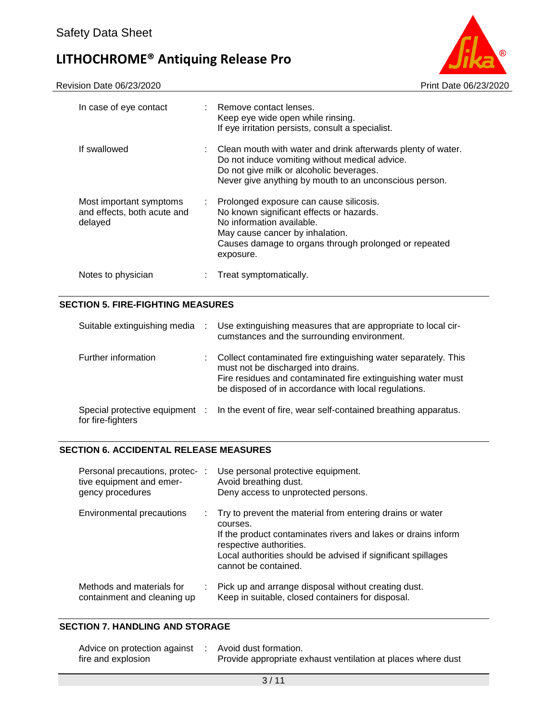

| In case of eye contact                                            |    | : Remove contact lenses.<br>Keep eye wide open while rinsing.<br>If eye irritation persists, consult a specialist.                                                                                                          |
|-------------------------------------------------------------------|----|-----------------------------------------------------------------------------------------------------------------------------------------------------------------------------------------------------------------------------|
| If swallowed                                                      | t. | Clean mouth with water and drink afterwards plenty of water.<br>Do not induce vomiting without medical advice.<br>Do not give milk or alcoholic beverages.<br>Never give anything by mouth to an unconscious person.        |
| Most important symptoms<br>and effects, both acute and<br>delayed |    | : Prolonged exposure can cause silicosis.<br>No known significant effects or hazards.<br>No information available.<br>May cause cancer by inhalation.<br>Causes damage to organs through prolonged or repeated<br>exposure. |
| Notes to physician                                                |    | Treat symptomatically.                                                                                                                                                                                                      |

#### **SECTION 5. FIRE-FIGHTING MEASURES**

| Suitable extinguishing media | Use extinguishing measures that are appropriate to local cir-<br>cumstances and the surrounding environment.                                                                                                                  |
|------------------------------|-------------------------------------------------------------------------------------------------------------------------------------------------------------------------------------------------------------------------------|
| Further information          | Collect contaminated fire extinguishing water separately. This<br>must not be discharged into drains.<br>Fire residues and contaminated fire extinguishing water must<br>be disposed of in accordance with local regulations. |
| for fire-fighters            | Special protective equipment : In the event of fire, wear self-contained breathing apparatus.                                                                                                                                 |

#### **SECTION 6. ACCIDENTAL RELEASE MEASURES**

| Personal precautions, protec-:<br>tive equipment and emer-<br>gency procedures |    | Use personal protective equipment.<br>Avoid breathing dust.<br>Deny access to unprotected persons.                                                                                                                                                        |
|--------------------------------------------------------------------------------|----|-----------------------------------------------------------------------------------------------------------------------------------------------------------------------------------------------------------------------------------------------------------|
| Environmental precautions                                                      | ÷. | Try to prevent the material from entering drains or water<br>courses.<br>If the product contaminates rivers and lakes or drains inform<br>respective authorities.<br>Local authorities should be advised if significant spillages<br>cannot be contained. |
| Methods and materials for<br>containment and cleaning up                       |    | : Pick up and arrange disposal without creating dust.<br>Keep in suitable, closed containers for disposal.                                                                                                                                                |

#### **SECTION 7. HANDLING AND STORAGE**

| Advice on protection against | Avoid dust formation.                                        |
|------------------------------|--------------------------------------------------------------|
| fire and explosion           | Provide appropriate exhaust ventilation at places where dust |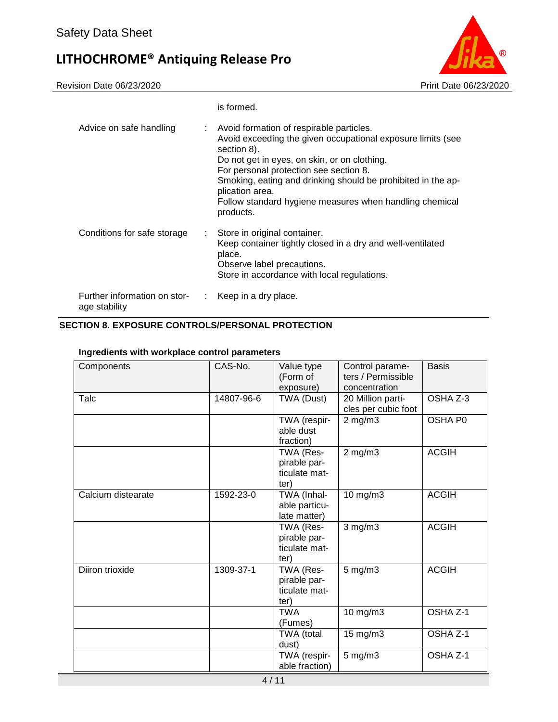

|                                                     | is formed.                                                                                                                                                                                                                                                                                                                                                                  |
|-----------------------------------------------------|-----------------------------------------------------------------------------------------------------------------------------------------------------------------------------------------------------------------------------------------------------------------------------------------------------------------------------------------------------------------------------|
| Advice on safe handling<br>t.                       | Avoid formation of respirable particles.<br>Avoid exceeding the given occupational exposure limits (see<br>section 8).<br>Do not get in eyes, on skin, or on clothing.<br>For personal protection see section 8.<br>Smoking, eating and drinking should be prohibited in the ap-<br>plication area.<br>Follow standard hygiene measures when handling chemical<br>products. |
| Conditions for safe storage<br>t.                   | Store in original container.<br>Keep container tightly closed in a dry and well-ventilated<br>place.<br>Observe label precautions.<br>Store in accordance with local regulations.                                                                                                                                                                                           |
| Further information on stor-<br>÷.<br>age stability | Keep in a dry place.                                                                                                                                                                                                                                                                                                                                                        |

#### **SECTION 8. EXPOSURE CONTROLS/PERSONAL PROTECTION**

#### **Ingredients with workplace control parameters**

| Components         | CAS-No.    | Value type<br>(Form of<br>exposure)                | Control parame-<br>ters / Permissible<br>concentration | <b>Basis</b> |
|--------------------|------------|----------------------------------------------------|--------------------------------------------------------|--------------|
| Talc               | 14807-96-6 | TWA (Dust)                                         | 20 Million parti-<br>cles per cubic foot               | OSHA Z-3     |
|                    |            | TWA (respir-<br>able dust<br>fraction)             | $2$ mg/m $3$                                           | OSHA P0      |
|                    |            | TWA (Res-<br>pirable par-<br>ticulate mat-<br>ter) | $2$ mg/m $3$                                           | <b>ACGIH</b> |
| Calcium distearate | 1592-23-0  | TWA (Inhal-<br>able particu-<br>late matter)       | 10 mg/m3                                               | <b>ACGIH</b> |
|                    |            | TWA (Res-<br>pirable par-<br>ticulate mat-<br>ter) | $3$ mg/m $3$                                           | <b>ACGIH</b> |
| Diiron trioxide    | 1309-37-1  | TWA (Res-<br>pirable par-<br>ticulate mat-<br>ter) | $5$ mg/m $3$                                           | <b>ACGIH</b> |
|                    |            | <b>TWA</b><br>(Fumes)                              | 10 mg/m3                                               | OSHA Z-1     |
|                    |            | TWA (total<br>dust)                                | 15 mg/m3                                               | OSHA Z-1     |
|                    |            | TWA (respir-<br>able fraction)                     | $5$ mg/m $3$                                           | OSHA Z-1     |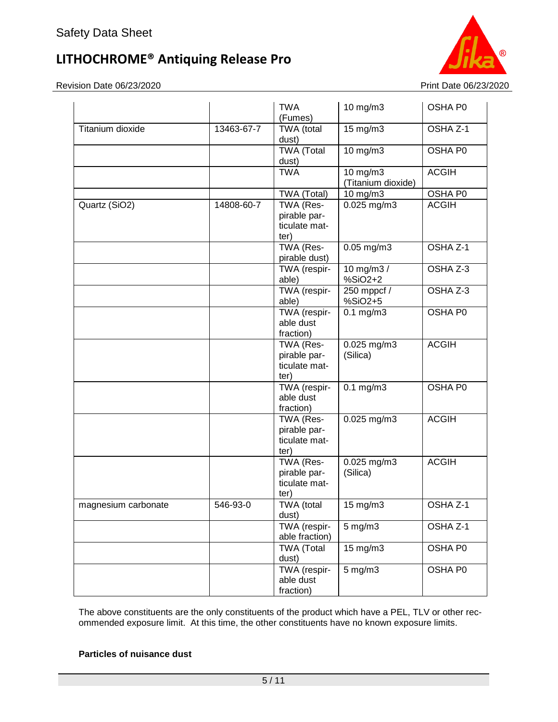Revision Date 06/23/2020 Print Date 06/23/2020



|                     |            | <b>TWA</b><br>(Fumes)                              | $10$ mg/m $3$                  | OSHA P0             |
|---------------------|------------|----------------------------------------------------|--------------------------------|---------------------|
| Titanium dioxide    | 13463-67-7 | TWA (total<br>dust)                                | $15$ mg/m $3$                  | OSHA Z-1            |
|                     |            | <b>TWA</b> (Total<br>dust)                         | $10 \text{ mg/m}$              | OSHA P0             |
|                     |            | <b>TWA</b>                                         | 10 mg/m3<br>(Titanium dioxide) | <b>ACGIH</b>        |
|                     |            | TWA (Total)                                        | 10 mg/m3                       | OSHA P0             |
| Quartz (SiO2)       | 14808-60-7 | TWA (Res-<br>pirable par-<br>ticulate mat-<br>ter) | 0.025 mg/m3                    | <b>ACGIH</b>        |
|                     |            | TWA (Res-<br>pirable dust)                         | $0.05$ mg/m3                   | OSHA Z-1            |
|                     |            | TWA (respir-<br>able)                              | 10 mg/m3 /<br>%SiO2+2          | OSHA Z-3            |
|                     |            | TWA (respir-<br>able)                              | 250 mppcf /<br>%SiO2+5         | OSHA Z-3            |
|                     |            | TWA (respir-<br>able dust<br>fraction)             | $0.1$ mg/m $3$                 | OSHA P0             |
|                     |            | TWA (Res-<br>pirable par-<br>ticulate mat-<br>ter) | $0.025$ mg/m3<br>(Silica)      | <b>ACGIH</b>        |
|                     |            | TWA (respir-<br>able dust<br>fraction)             | $\overline{0.1}$ mg/m3         | OSHA P0             |
|                     |            | TWA (Res-<br>pirable par-<br>ticulate mat-<br>ter) | $0.025$ mg/m3                  | <b>ACGIH</b>        |
|                     |            | TWA (Res-<br>pirable par-<br>ticulate mat-<br>ter) | 0.025 mg/m3<br>(Silica)        | <b>ACGIH</b>        |
| magnesium carbonate | 546-93-0   | <b>TWA</b> (total<br>dust)                         | $15 \text{ mg/m}$              | OSHA <sub>Z-1</sub> |
|                     |            | TWA (respir-<br>able fraction)                     | $5$ mg/m $3$                   | OSHA Z-1            |
|                     |            | TWA (Total<br>dust)                                | 15 mg/m3                       | OSHA P0             |
|                     |            | TWA (respir-<br>able dust<br>fraction)             | $5$ mg/m $3$                   | OSHA P0             |

The above constituents are the only constituents of the product which have a PEL, TLV or other recommended exposure limit. At this time, the other constituents have no known exposure limits.

#### **Particles of nuisance dust**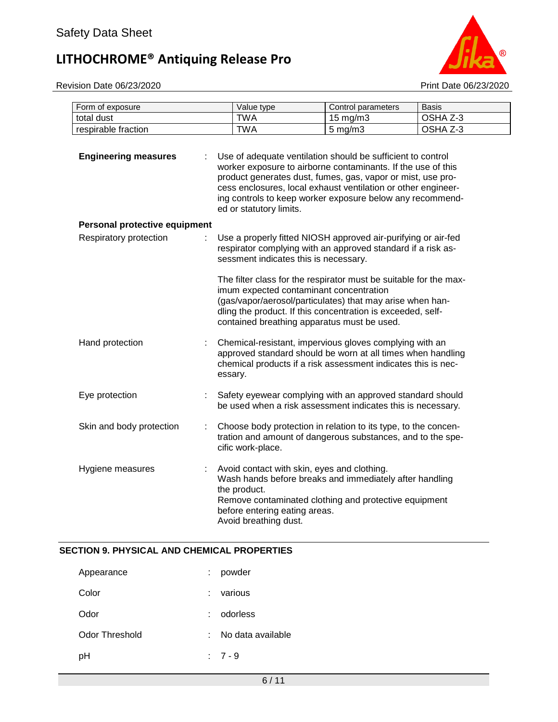Revision Date 06/23/2020 Print Date 06/23/2020



| Form of exposure              |   | Value type                                                                                                                                                                                                                                                                                                                                          | Control parameters | <b>Basis</b> |
|-------------------------------|---|-----------------------------------------------------------------------------------------------------------------------------------------------------------------------------------------------------------------------------------------------------------------------------------------------------------------------------------------------------|--------------------|--------------|
| total dust                    |   | <b>TWA</b>                                                                                                                                                                                                                                                                                                                                          | 15 mg/m3           | OSHA Z-3     |
| respirable fraction           |   | <b>TWA</b>                                                                                                                                                                                                                                                                                                                                          | $5$ mg/m $3$       | OSHA Z-3     |
| <b>Engineering measures</b>   |   | Use of adequate ventilation should be sufficient to control<br>worker exposure to airborne contaminants. If the use of this<br>product generates dust, fumes, gas, vapor or mist, use pro-<br>cess enclosures, local exhaust ventilation or other engineer-<br>ing controls to keep worker exposure below any recommend-<br>ed or statutory limits. |                    |              |
| Personal protective equipment |   |                                                                                                                                                                                                                                                                                                                                                     |                    |              |
| Respiratory protection        |   | Use a properly fitted NIOSH approved air-purifying or air-fed<br>respirator complying with an approved standard if a risk as-<br>sessment indicates this is necessary.                                                                                                                                                                              |                    |              |
|                               |   | The filter class for the respirator must be suitable for the max-<br>imum expected contaminant concentration<br>(gas/vapor/aerosol/particulates) that may arise when han-<br>dling the product. If this concentration is exceeded, self-<br>contained breathing apparatus must be used.                                                             |                    |              |
| Hand protection               |   | Chemical-resistant, impervious gloves complying with an<br>approved standard should be worn at all times when handling<br>chemical products if a risk assessment indicates this is nec-<br>essary.                                                                                                                                                  |                    |              |
| Eye protection                |   | Safety eyewear complying with an approved standard should<br>be used when a risk assessment indicates this is necessary.                                                                                                                                                                                                                            |                    |              |
| Skin and body protection      | t | Choose body protection in relation to its type, to the concen-<br>tration and amount of dangerous substances, and to the spe-<br>cific work-place.                                                                                                                                                                                                  |                    |              |
| Hygiene measures              |   | Avoid contact with skin, eyes and clothing.<br>Wash hands before breaks and immediately after handling<br>the product.<br>Remove contaminated clothing and protective equipment<br>before entering eating areas.<br>Avoid breathing dust.                                                                                                           |                    |              |

#### **SECTION 9. PHYSICAL AND CHEMICAL PROPERTIES**

| Appearance     |        | powder            |
|----------------|--------|-------------------|
| Color          | ÷      | various           |
| Odor           | $\sim$ | odorless          |
| Odor Threshold | ÷.     | No data available |
| рH             |        | $: 7 - 9$         |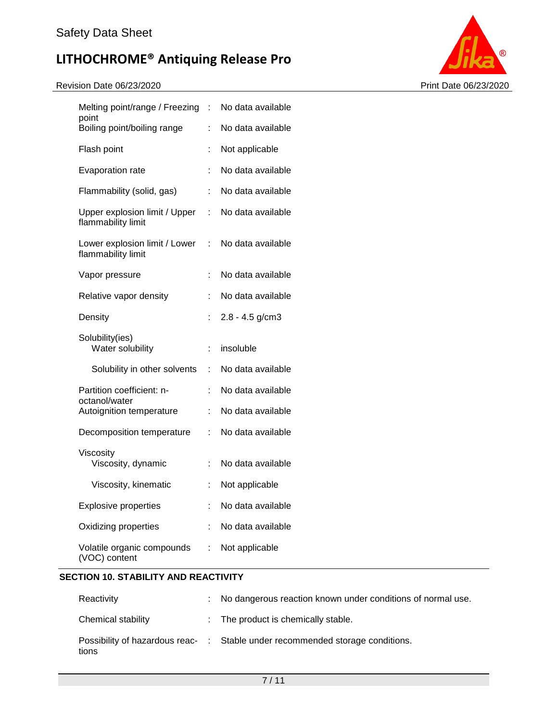#### Revision Date 06/23/2020 Print Date 06/23/2020



| Melting point/range / Freezing                      | $\ddot{\phantom{a}}$ | No data available |
|-----------------------------------------------------|----------------------|-------------------|
| point<br>Boiling point/boiling range                | Ì.                   | No data available |
| Flash point                                         | t                    | Not applicable    |
| Evaporation rate                                    | t                    | No data available |
| Flammability (solid, gas)                           | ÷                    | No data available |
| Upper explosion limit / Upper<br>flammability limit | ÷                    | No data available |
| Lower explosion limit / Lower<br>flammability limit | t.                   | No data available |
| Vapor pressure                                      | Ì.                   | No data available |
| Relative vapor density                              | t                    | No data available |
| Density                                             | t                    | $2.8 - 4.5$ g/cm3 |
| Solubility(ies)<br>Water solubility                 | t                    | insoluble         |
| Solubility in other solvents                        | ÷                    | No data available |
| Partition coefficient: n-<br>octanol/water          | t                    | No data available |
| Autoignition temperature                            | t                    | No data available |
| Decomposition temperature                           | t                    | No data available |
| Viscosity<br>Viscosity, dynamic                     | t                    | No data available |
| Viscosity, kinematic                                | $\ddot{\phantom{a}}$ | Not applicable    |
| <b>Explosive properties</b>                         | t                    | No data available |
| Oxidizing properties                                |                      | No data available |
| Volatile organic compounds<br>(VOC) content         | t.                   | Not applicable    |

#### **SECTION 10. STABILITY AND REACTIVITY**

| Reactivity         | : No dangerous reaction known under conditions of normal use.                 |
|--------------------|-------------------------------------------------------------------------------|
| Chemical stability | : The product is chemically stable.                                           |
| tions              | Possibility of hazardous reac- : Stable under recommended storage conditions. |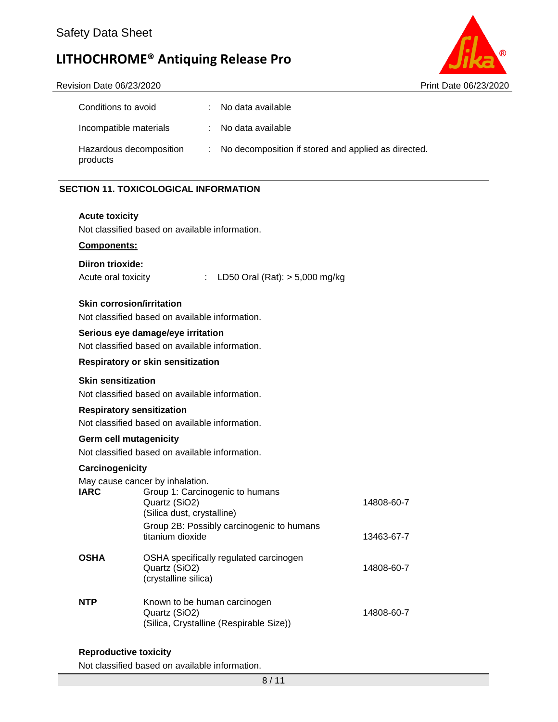

#### Revision Date 06/23/2020 Print Date 06/23/2020

| Conditions to avoid                 | : No data available                                   |
|-------------------------------------|-------------------------------------------------------|
| Incompatible materials              | : No data available                                   |
| Hazardous decomposition<br>products | : No decomposition if stored and applied as directed. |

#### **SECTION 11. TOXICOLOGICAL INFORMATION**

#### **Acute toxicity**

Not classified based on available information.

#### **Components:**

#### **Diiron trioxide:**

Acute oral toxicity : LD50 Oral (Rat): > 5,000 mg/kg

#### **Skin corrosion/irritation**

Not classified based on available information.

#### **Serious eye damage/eye irritation**

Not classified based on available information.

#### **Respiratory or skin sensitization**

#### **Skin sensitization**

Not classified based on available information.

#### **Respiratory sensitization**

Not classified based on available information.

#### **Germ cell mutagenicity**

Not classified based on available information.

#### **Carcinogenicity**

May cause cancer by inhalation.

| <b><i>IVIOY CAUSE CATIVEL BY IMPORTUNE</i></b>                                           |            |
|------------------------------------------------------------------------------------------|------------|
| Group 1: Carcinogenic to humans<br>Quartz (SiO2)<br>(Silica dust, crystalline)           | 14808-60-7 |
| Group 2B: Possibly carcinogenic to humans<br>titanium dioxide                            | 13463-67-7 |
| OSHA specifically regulated carcinogen<br>Quartz (SiO2)<br>(crystalline silica)          | 14808-60-7 |
| Known to be human carcinogen<br>Quartz (SiO2)<br>(Silica, Crystalline (Respirable Size)) | 14808-60-7 |
|                                                                                          |            |

#### **Reproductive toxicity**

Not classified based on available information.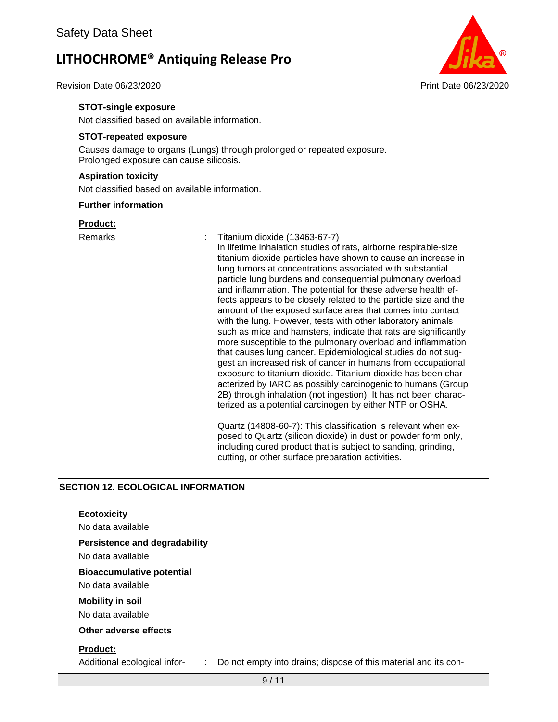

Revision Date 06/23/2020 Print Date 06/23/2020

#### **STOT-single exposure**

Not classified based on available information.

#### **STOT-repeated exposure**

Causes damage to organs (Lungs) through prolonged or repeated exposure. Prolonged exposure can cause silicosis.

#### **Aspiration toxicity**

Not classified based on available information.

#### **Further information**

#### **Product:**

#### Remarks : Titanium dioxide (13463-67-7)

In lifetime inhalation studies of rats, airborne respirable-size titanium dioxide particles have shown to cause an increase in lung tumors at concentrations associated with substantial particle lung burdens and consequential pulmonary overload and inflammation. The potential for these adverse health effects appears to be closely related to the particle size and the amount of the exposed surface area that comes into contact with the lung. However, tests with other laboratory animals such as mice and hamsters, indicate that rats are significantly more susceptible to the pulmonary overload and inflammation that causes lung cancer. Epidemiological studies do not suggest an increased risk of cancer in humans from occupational exposure to titanium dioxide. Titanium dioxide has been characterized by IARC as possibly carcinogenic to humans (Group 2B) through inhalation (not ingestion). It has not been characterized as a potential carcinogen by either NTP or OSHA.

Quartz (14808-60-7): This classification is relevant when exposed to Quartz (silicon dioxide) in dust or powder form only, including cured product that is subject to sanding, grinding, cutting, or other surface preparation activities.

#### **SECTION 12. ECOLOGICAL INFORMATION**

| <b>Ecotoxicity</b><br>No data available                                                                                  |
|--------------------------------------------------------------------------------------------------------------------------|
| <b>Persistence and degradability</b><br>No data available                                                                |
| <b>Bioaccumulative potential</b><br>No data available                                                                    |
| <b>Mobility in soil</b><br>No data available                                                                             |
| Other adverse effects                                                                                                    |
| <b>Product:</b><br>Do not empty into drains; dispose of this material and its con-<br>Additional ecological infor-<br>÷. |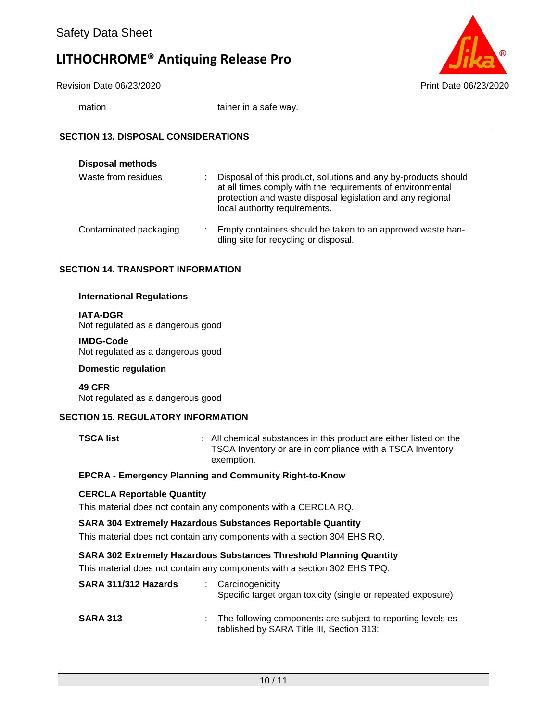

Revision Date 06/23/2020 Print Date 06/23/2020

mation tainer in a safe way.

#### **SECTION 13. DISPOSAL CONSIDERATIONS**

| <b>Disposal methods</b>     |                                                                                                                                                                                                                             |
|-----------------------------|-----------------------------------------------------------------------------------------------------------------------------------------------------------------------------------------------------------------------------|
| Waste from residues<br>÷    | Disposal of this product, solutions and any by-products should<br>at all times comply with the requirements of environmental<br>protection and waste disposal legislation and any regional<br>local authority requirements. |
| Contaminated packaging<br>÷ | Empty containers should be taken to an approved waste han-<br>dling site for recycling or disposal.                                                                                                                         |

#### **SECTION 14. TRANSPORT INFORMATION**

#### **International Regulations**

**IATA-DGR**

Not regulated as a dangerous good

#### **IMDG-Code**

Not regulated as a dangerous good

#### **Domestic regulation**

**49 CFR** Not regulated as a dangerous good

#### **SECTION 15. REGULATORY INFORMATION**

**TSCA list EXECA list 1 COLLEGAT CONSTANTS IN All chemical substances in this product are either listed on the** TSCA Inventory or are in compliance with a TSCA Inventory exemption.

#### **EPCRA - Emergency Planning and Community Right-to-Know**

#### **CERCLA Reportable Quantity**

This material does not contain any components with a CERCLA RQ.

#### **SARA 304 Extremely Hazardous Substances Reportable Quantity**

This material does not contain any components with a section 304 EHS RQ.

#### **SARA 302 Extremely Hazardous Substances Threshold Planning Quantity**

This material does not contain any components with a section 302 EHS TPQ.

| SARA 311/312 Hazards | : Carcinogenicity<br>Specific target organ toxicity (single or repeated exposure)                           |
|----------------------|-------------------------------------------------------------------------------------------------------------|
| <b>SARA 313</b>      | : The following components are subject to reporting levels es-<br>tablished by SARA Title III, Section 313: |